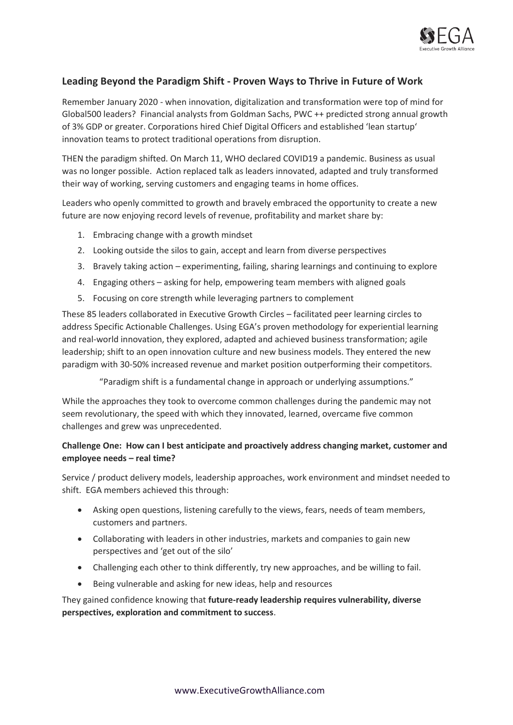

## **Leading Beyond the Paradigm Shift - Proven Ways to Thrive in Future of Work**

Remember January 2020 - when innovation, digitalization and transformation were top of mind for Global500 leaders? Financial analysts from Goldman Sachs, PWC ++ predicted strong annual growth of 3% GDP or greater. Corporations hired Chief Digital Officers and established 'lean startup' innovation teams to protect traditional operations from disruption.

THEN the paradigm shifted. On March 11, WHO declared COVID19 a pandemic. Business as usual was no longer possible. Action replaced talk as leaders innovated, adapted and truly transformed their way of working, serving customers and engaging teams in home offices.

Leaders who openly committed to growth and bravely embraced the opportunity to create a new future are now enjoying record levels of revenue, profitability and market share by:

- 1. Embracing change with a growth mindset
- 2. Looking outside the silos to gain, accept and learn from diverse perspectives
- 3. Bravely taking action experimenting, failing, sharing learnings and continuing to explore
- 4. Engaging others asking for help, empowering team members with aligned goals
- 5. Focusing on core strength while leveraging partners to complement

These 85 leaders collaborated in Executive Growth Circles – facilitated peer learning circles to address Specific Actionable Challenges. Using EGA's proven methodology for experiential learning and real-world innovation, they explored, adapted and achieved business transformation; agile leadership; shift to an open innovation culture and new business models. They entered the new paradigm with 30-50% increased revenue and market position outperforming their competitors.

"Paradigm shift is a fundamental change in approach or underlying assumptions."

While the approaches they took to overcome common challenges during the pandemic may not seem revolutionary, the speed with which they innovated, learned, overcame five common challenges and grew was unprecedented.

## **Challenge One: How can I best anticipate and proactively address changing market, customer and employee needs – real time?**

Service / product delivery models, leadership approaches, work environment and mindset needed to shift. EGA members achieved this through:

- Asking open questions, listening carefully to the views, fears, needs of team members, customers and partners.
- Collaborating with leaders in other industries, markets and companies to gain new perspectives and 'get out of the silo'
- Challenging each other to think differently, try new approaches, and be willing to fail.
- Being vulnerable and asking for new ideas, help and resources

They gained confidence knowing that **future-ready leadership requires vulnerability, diverse perspectives, exploration and commitment to success**.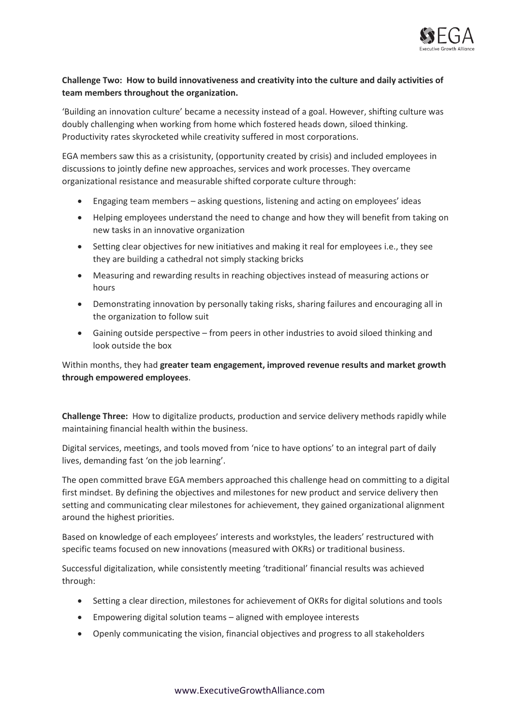

## **Challenge Two: How to build innovativeness and creativity into the culture and daily activities of team members throughout the organization.**

'Building an innovation culture' became a necessity instead of a goal. However, shifting culture was doubly challenging when working from home which fostered heads down, siloed thinking. Productivity rates skyrocketed while creativity suffered in most corporations.

EGA members saw this as a crisistunity, (opportunity created by crisis) and included employees in discussions to jointly define new approaches, services and work processes. They overcame organizational resistance and measurable shifted corporate culture through:

- Engaging team members asking questions, listening and acting on employees' ideas
- Helping employees understand the need to change and how they will benefit from taking on new tasks in an innovative organization
- Setting clear objectives for new initiatives and making it real for employees i.e., they see they are building a cathedral not simply stacking bricks
- Measuring and rewarding results in reaching objectives instead of measuring actions or hours
- Demonstrating innovation by personally taking risks, sharing failures and encouraging all in the organization to follow suit
- Gaining outside perspective from peers in other industries to avoid siloed thinking and look outside the box

## Within months, they had **greater team engagement, improved revenue results and market growth through empowered employees**.

**Challenge Three:** How to digitalize products, production and service delivery methods rapidly while maintaining financial health within the business.

Digital services, meetings, and tools moved from 'nice to have options' to an integral part of daily lives, demanding fast 'on the job learning'.

The open committed brave EGA members approached this challenge head on committing to a digital first mindset. By defining the objectives and milestones for new product and service delivery then setting and communicating clear milestones for achievement, they gained organizational alignment around the highest priorities.

Based on knowledge of each employees' interests and workstyles, the leaders' restructured with specific teams focused on new innovations (measured with OKRs) or traditional business.

Successful digitalization, while consistently meeting 'traditional' financial results was achieved through:

- Setting a clear direction, milestones for achievement of OKRs for digital solutions and tools
- Empowering digital solution teams aligned with employee interests
- Openly communicating the vision, financial objectives and progress to all stakeholders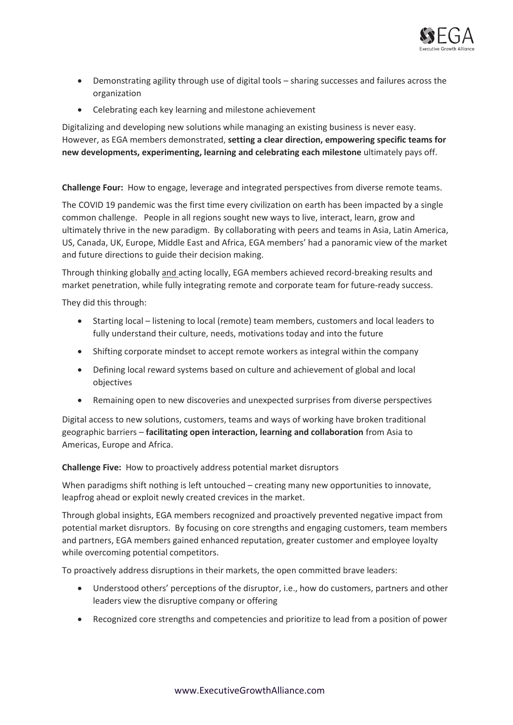

- Demonstrating agility through use of digital tools sharing successes and failures across the organization
- Celebrating each key learning and milestone achievement

Digitalizing and developing new solutions while managing an existing business is never easy. However, as EGA members demonstrated, **setting a clear direction, empowering specific teams for new developments, experimenting, learning and celebrating each milestone** ultimately pays off.

**Challenge Four:** How to engage, leverage and integrated perspectives from diverse remote teams.

The COVID 19 pandemic was the first time every civilization on earth has been impacted by a single common challenge. People in all regions sought new ways to live, interact, learn, grow and ultimately thrive in the new paradigm. By collaborating with peers and teams in Asia, Latin America, US, Canada, UK, Europe, Middle East and Africa, EGA members' had a panoramic view of the market and future directions to guide their decision making.

Through thinking globally and acting locally, EGA members achieved record-breaking results and market penetration, while fully integrating remote and corporate team for future-ready success.

They did this through:

- Starting local listening to local (remote) team members, customers and local leaders to fully understand their culture, needs, motivations today and into the future
- Shifting corporate mindset to accept remote workers as integral within the company
- Defining local reward systems based on culture and achievement of global and local objectives
- Remaining open to new discoveries and unexpected surprises from diverse perspectives

Digital access to new solutions, customers, teams and ways of working have broken traditional geographic barriers – **facilitating open interaction, learning and collaboration** from Asia to Americas, Europe and Africa.

**Challenge Five:** How to proactively address potential market disruptors

When paradigms shift nothing is left untouched – creating many new opportunities to innovate, leapfrog ahead or exploit newly created crevices in the market.

Through global insights, EGA members recognized and proactively prevented negative impact from potential market disruptors. By focusing on core strengths and engaging customers, team members and partners, EGA members gained enhanced reputation, greater customer and employee loyalty while overcoming potential competitors.

To proactively address disruptions in their markets, the open committed brave leaders:

- Understood others' perceptions of the disruptor, i.e., how do customers, partners and other leaders view the disruptive company or offering
- Recognized core strengths and competencies and prioritize to lead from a position of power